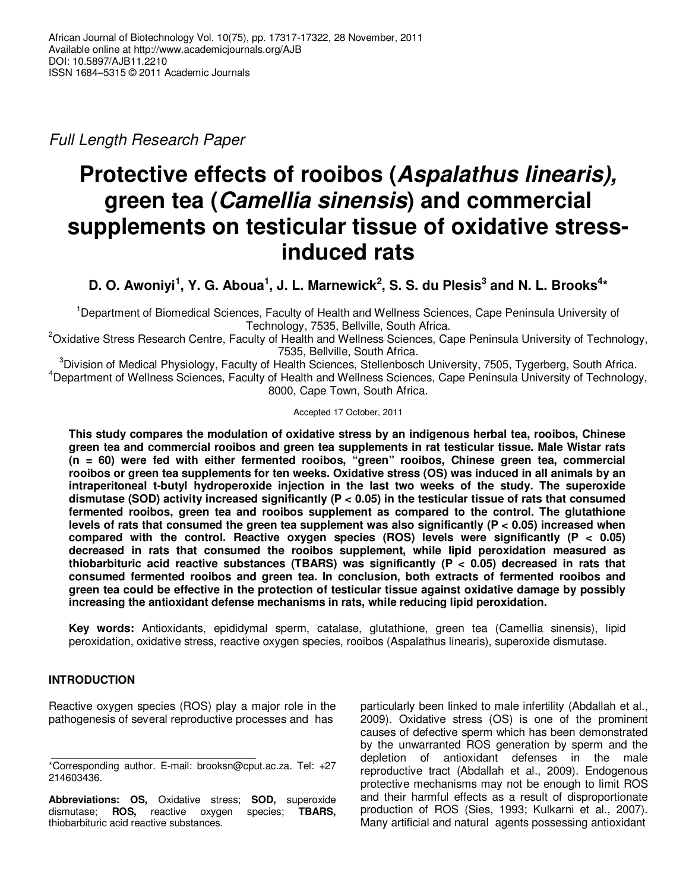Full Length Research Paper

# **Protective effects of rooibos (Aspalathus linearis), green tea (Camellia sinensis) and commercial supplements on testicular tissue of oxidative stressinduced rats**

**D. O. Awoniyi<sup>1</sup>, Y. G. Aboua<sup>1</sup>, J. L. Marnewick<sup>2</sup>, S. S. du Plesis<sup>3</sup> and N. L. Brooks<sup>4\*</sup>** 

<sup>1</sup>Department of Biomedical Sciences, Faculty of Health and Wellness Sciences, Cape Peninsula University of Technology, 7535, Bellville, South Africa.

<sup>2</sup>Oxidative Stress Research Centre, Faculty of Health and Wellness Sciences, Cape Peninsula University of Technology, 7535, Bellville, South Africa.

 ${}^{3}$ Division of Medical Physiology, Faculty of Health Sciences, Stellenbosch University, 7505, Tygerberg, South Africa. <sup>4</sup>Department of Wellness Sciences, Faculty of Health and Wellness Sciences, Cape Peninsula University of Technology, 8000, Cape Town, South Africa.

Accepted 17 October, 2011

**This study compares the modulation of oxidative stress by an indigenous herbal tea, rooibos, Chinese green tea and commercial rooibos and green tea supplements in rat testicular tissue. Male Wistar rats (n = 60) were fed with either fermented rooibos, "green" rooibos, Chinese green tea, commercial rooibos or green tea supplements for ten weeks. Oxidative stress (OS) was induced in all animals by an intraperitoneal t-butyl hydroperoxide injection in the last two weeks of the study. The superoxide dismutase (SOD) activity increased significantly (P < 0.05) in the testicular tissue of rats that consumed fermented rooibos, green tea and rooibos supplement as compared to the control. The glutathione levels of rats that consumed the green tea supplement was also significantly (P < 0.05) increased when compared with the control. Reactive oxygen species (ROS) levels were significantly (P < 0.05) decreased in rats that consumed the rooibos supplement, while lipid peroxidation measured as thiobarbituric acid reactive substances (TBARS) was significantly (P < 0.05) decreased in rats that consumed fermented rooibos and green tea. In conclusion, both extracts of fermented rooibos and green tea could be effective in the protection of testicular tissue against oxidative damage by possibly increasing the antioxidant defense mechanisms in rats, while reducing lipid peroxidation.** 

**Key words:** Antioxidants, epididymal sperm, catalase, glutathione, green tea (Camellia sinensis), lipid peroxidation, oxidative stress, reactive oxygen species, rooibos (Aspalathus linearis), superoxide dismutase.

## **INTRODUCTION**

Reactive oxygen species (ROS) play a major role in the pathogenesis of several reproductive processes and has

particularly been linked to male infertility (Abdallah et al., 2009). Oxidative stress (OS) is one of the prominent causes of defective sperm which has been demonstrated by the unwarranted ROS generation by sperm and the depletion of antioxidant defenses in the male reproductive tract (Abdallah et al., 2009). Endogenous protective mechanisms may not be enough to limit ROS and their harmful effects as a result of disproportionate production of ROS (Sies, 1993; Kulkarni et al., 2007). Many artificial and natural agents possessing antioxidant

<sup>\*</sup>Corresponding author. E-mail: brooksn@cput.ac.za. Tel: +27 214603436.

**Abbreviations: OS,** Oxidative stress; **SOD,** superoxide dismutase; **ROS,** reactive oxygen species; **TBARS,** thiobarbituric acid reactive substances.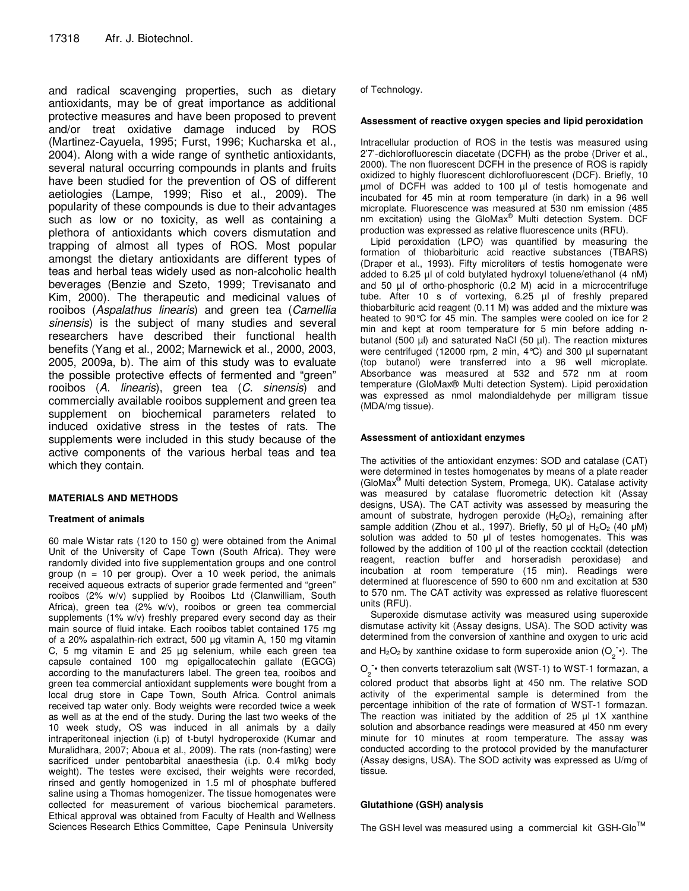and radical scavenging properties, such as dietary antioxidants, may be of great importance as additional protective measures and have been proposed to prevent and/or treat oxidative damage induced by ROS (Martinez-Cayuela, 1995; Furst, 1996; Kucharska et al., 2004). Along with a wide range of synthetic antioxidants, several natural occurring compounds in plants and fruits have been studied for the prevention of OS of different aetiologies (Lampe, 1999; Riso et al., 2009). The popularity of these compounds is due to their advantages such as low or no toxicity, as well as containing a plethora of antioxidants which covers dismutation and trapping of almost all types of ROS. Most popular amongst the dietary antioxidants are different types of teas and herbal teas widely used as non-alcoholic health beverages (Benzie and Szeto, 1999; Trevisanato and Kim, 2000). The therapeutic and medicinal values of rooibos (Aspalathus linearis) and green tea (Camellia sinensis) is the subject of many studies and several researchers have described their functional health benefits (Yang et al., 2002; Marnewick et al., 2000, 2003, 2005, 2009a, b). The aim of this study was to evaluate the possible protective effects of fermented and "green" rooibos (A. linearis), green tea (C. sinensis) and commercially available rooibos supplement and green tea supplement on biochemical parameters related to induced oxidative stress in the testes of rats. The supplements were included in this study because of the active components of the various herbal teas and tea which they contain.

#### **MATERIALS AND METHODS**

#### **Treatment of animals**

60 male Wistar rats (120 to 150 g) were obtained from the Animal Unit of the University of Cape Town (South Africa). They were randomly divided into five supplementation groups and one control group ( $n = 10$  per group). Over a 10 week period, the animals received aqueous extracts of superior grade fermented and "green" rooibos (2% w/v) supplied by Rooibos Ltd (Clanwilliam, South Africa), green tea (2% w/v), rooibos or green tea commercial supplements (1% w/v) freshly prepared every second day as their main source of fluid intake. Each rooibos tablet contained 175 mg of a 20% aspalathin-rich extract, 500 µg vitamin A, 150 mg vitamin C, 5 mg vitamin E and 25 µg selenium, while each green tea capsule contained 100 mg epigallocatechin gallate (EGCG) according to the manufacturers label. The green tea, rooibos and green tea commercial antioxidant supplements were bought from a local drug store in Cape Town, South Africa. Control animals received tap water only. Body weights were recorded twice a week as well as at the end of the study. During the last two weeks of the 10 week study, OS was induced in all animals by a daily intraperitoneal injection (i.p) of t-butyl hydroperoxide (Kumar and Muralidhara, 2007; Aboua et al., 2009). The rats (non-fasting) were sacrificed under pentobarbital anaesthesia (i.p. 0.4 ml/kg body weight). The testes were excised, their weights were recorded, rinsed and gently homogenized in 1.5 ml of phosphate buffered saline using a Thomas homogenizer. The tissue homogenates were collected for measurement of various biochemical parameters. Ethical approval was obtained from Faculty of Health and Wellness Sciences Research Ethics Committee, Cape Peninsula University

of Technology.

#### **Assessment of reactive oxygen species and lipid peroxidation**

Intracellular production of ROS in the testis was measured using 2'7'-dichlorofluorescin diacetate (DCFH) as the probe (Driver et al., 2000). The non fluorescent DCFH in the presence of ROS is rapidly oxidized to highly fluorescent dichlorofluorescent (DCF). Briefly, 10 µmol of DCFH was added to 100 µl of testis homogenate and incubated for 45 min at room temperature (in dark) in a 96 well microplate. Fluorescence was measured at 530 nm emission (485 nm excitation) using the GloMax<sup>®</sup> Multi detection System. DCF production was expressed as relative fluorescence units (RFU).

Lipid peroxidation (LPO) was quantified by measuring the formation of thiobarbituric acid reactive substances (TBARS) (Draper et al., 1993). Fifty microliters of testis homogenate were added to 6.25 µl of cold butylated hydroxyl toluene/ethanol (4 nM) and 50 µl of ortho-phosphoric (0.2 M) acid in a microcentrifuge tube. After 10 s of vortexing, 6.25 µl of freshly prepared thiobarbituric acid reagent (0.11 M) was added and the mixture was heated to 90°C for 45 min. The samples were cooled on ice for 2 min and kept at room temperature for 5 min before adding nbutanol (500  $\mu$ l) and saturated NaCl (50  $\mu$ l). The reaction mixtures were centrifuged (12000 rpm, 2 min, 4°C) and 300 µl supernatant (top butanol) were transferred into a 96 well microplate. Absorbance was measured at 532 and 572 nm at room temperature (GloMax® Multi detection System). Lipid peroxidation was expressed as nmol malondialdehyde per milligram tissue (MDA/mg tissue).

#### **Assessment of antioxidant enzymes**

The activities of the antioxidant enzymes: SOD and catalase (CAT) were determined in testes homogenates by means of a plate reader (GloMax® Multi detection System, Promega, UK). Catalase activity was measured by catalase fluorometric detection kit (Assay designs, USA). The CAT activity was assessed by measuring the amount of substrate, hydrogen peroxide  $(H_2O_2)$ , remaining after sample addition (Zhou et al., 1997). Briefly, 50  $\mu$ l of H<sub>2</sub>O<sub>2</sub> (40  $\mu$ M) solution was added to 50 µl of testes homogenates. This was followed by the addition of 100 µl of the reaction cocktail (detection reagent, reaction buffer and horseradish peroxidase) and incubation at room temperature (15 min). Readings were determined at fluorescence of 590 to 600 nm and excitation at 530 to 570 nm. The CAT activity was expressed as relative fluorescent units (RFU).

Superoxide dismutase activity was measured using superoxide dismutase activity kit (Assay designs, USA). The SOD activity was determined from the conversion of xanthine and oxygen to uric acid

and H<sub>2</sub>O<sub>2</sub> by xanthine oxidase to form superoxide anion (O<sub>2</sub><sup>-</sup>•). The

 $\overline{O_2}$  • then converts teterazolium salt (WST-1) to WST-1 formazan, a

colored product that absorbs light at 450 nm. The relative SOD activity of the experimental sample is determined from the percentage inhibition of the rate of formation of WST-1 formazan. The reaction was initiated by the addition of 25 µl 1X xanthine solution and absorbance readings were measured at 450 nm every minute for 10 minutes at room temperature. The assay was conducted according to the protocol provided by the manufacturer (Assay designs, USA). The SOD activity was expressed as U/mg of tissue.

#### **Glutathione (GSH) analysis**

The GSH level was measured using a commercial kit GSH-Glo<sup>TM</sup>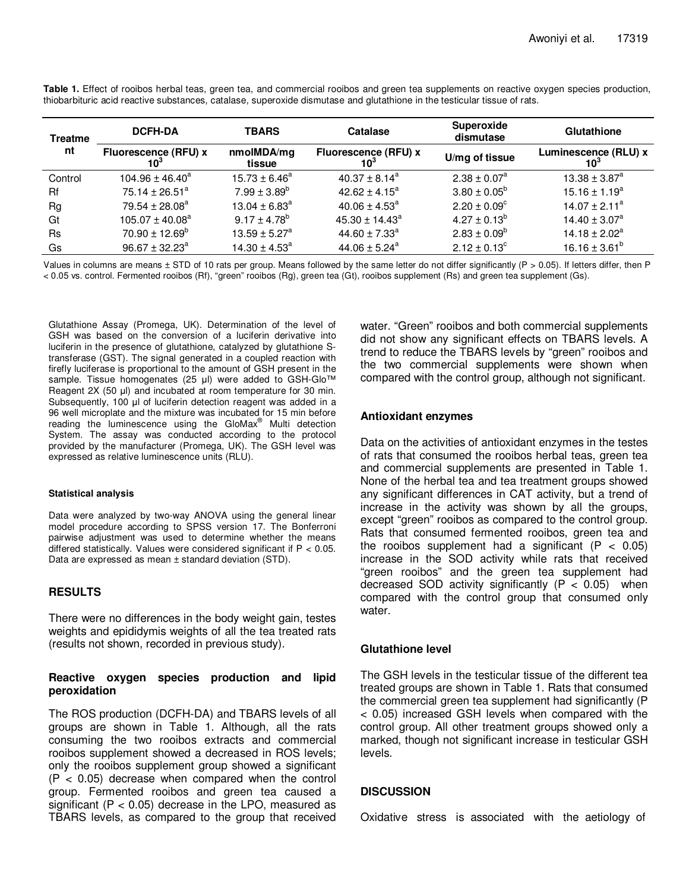| <b>Treatme</b><br>nt | <b>DCFH-DA</b>                     | <b>TBARS</b>             | Catalase                       | Superoxide<br>dismutase | Glutathione                             |
|----------------------|------------------------------------|--------------------------|--------------------------------|-------------------------|-----------------------------------------|
|                      | <b>Fluorescence (RFU) x</b><br>10° | nmolMDA/mg<br>tissue     | Fluorescence (RFU) x<br>$10^3$ | U/mg of tissue          | Luminescence (RLU) x<br>10 <sup>3</sup> |
| Control              | $104.96 \pm 46.40^a$               | $15.73 \pm 6.46^a$       | $40.37 \pm 8.14^a$             | $2.38 \pm 0.07^a$       | $13.38 \pm 3.87^a$                      |
| Rf                   | 75.14 $\pm$ 26.51 <sup>a</sup>     | $7.99 \pm 3.89^b$        | $42.62 \pm 4.15^a$             | $3.80 \pm 0.05^{\circ}$ | $15.16 \pm 1.19^a$                      |
| Rg                   | 79.54 ± 28.08 <sup>a</sup>         | $13.04 \pm 6.83^{\circ}$ | $40.06 \pm 4.53^{\circ}$       | $2.20 \pm 0.09^{\circ}$ | $14.07 \pm 2.11^a$                      |
| Gt                   | $105.07 \pm 40.08^a$               | $9.17 \pm 4.78^b$        | $45.30 \pm 14.43^a$            | $4.27 \pm 0.13^b$       | $14.40 \pm 3.07^a$                      |
| <b>Rs</b>            | $70.90 \pm 12.69^{\circ}$          | $13.59 \pm 5.27^a$       | 44.60 $\pm$ 7.33 <sup>a</sup>  | $2.83 \pm 0.09^b$       | $14.18 \pm 2.02^a$                      |
| Gs                   | $96.67 \pm 32.23^a$                | $14.30 \pm 4.53^a$       | $44.06 \pm 5.24^a$             | $2.12 \pm 0.13^c$       | $16.16 \pm 3.61^b$                      |

**Table 1.** Effect of rooibos herbal teas, green tea, and commercial rooibos and green tea supplements on reactive oxygen species production, thiobarbituric acid reactive substances, catalase, superoxide dismutase and glutathione in the testicular tissue of rats.

Values in columns are means ± STD of 10 rats per group. Means followed by the same letter do not differ significantly (P > 0.05). If letters differ, then P < 0.05 vs. control. Fermented rooibos (Rf), "green" rooibos (Rg), green tea (Gt), rooibos supplement (Rs) and green tea supplement (Gs).

Glutathione Assay (Promega, UK). Determination of the level of GSH was based on the conversion of a luciferin derivative into luciferin in the presence of glutathione, catalyzed by glutathione Stransferase (GST). The signal generated in a coupled reaction with firefly luciferase is proportional to the amount of GSH present in the sample. Tissue homogenates (25 µl) were added to GSH-Glo™ Reagent 2X (50 µl) and incubated at room temperature for 30 min. Subsequently, 100 µl of luciferin detection reagent was added in a 96 well microplate and the mixture was incubated for 15 min before reading the luminescence using the GloMax® Multi detection System. The assay was conducted according to the protocol provided by the manufacturer (Promega, UK). The GSH level was expressed as relative luminescence units (RLU).

#### **Statistical analysis**

Data were analyzed by two-way ANOVA using the general linear model procedure according to SPSS version 17. The Bonferroni pairwise adjustment was used to determine whether the means differed statistically. Values were considered significant if  $P < 0.05$ . Data are expressed as mean ± standard deviation (STD).

#### **RESULTS**

There were no differences in the body weight gain, testes weights and epididymis weights of all the tea treated rats (results not shown, recorded in previous study).

#### **Reactive oxygen species production and lipid peroxidation**

The ROS production (DCFH-DA) and TBARS levels of all groups are shown in Table 1. Although, all the rats consuming the two rooibos extracts and commercial rooibos supplement showed a decreased in ROS levels; only the rooibos supplement group showed a significant  $(P < 0.05)$  decrease when compared when the control group. Fermented rooibos and green tea caused a significant ( $P < 0.05$ ) decrease in the LPO, measured as TBARS levels, as compared to the group that received water. "Green" rooibos and both commercial supplements did not show any significant effects on TBARS levels. A trend to reduce the TBARS levels by "green" rooibos and the two commercial supplements were shown when compared with the control group, although not significant.

#### **Antioxidant enzymes**

Data on the activities of antioxidant enzymes in the testes of rats that consumed the rooibos herbal teas, green tea and commercial supplements are presented in Table 1. None of the herbal tea and tea treatment groups showed any significant differences in CAT activity, but a trend of increase in the activity was shown by all the groups, except "green" rooibos as compared to the control group. Rats that consumed fermented rooibos, green tea and the rooibos supplement had a significant ( $P < 0.05$ ) increase in the SOD activity while rats that received "green rooibos" and the green tea supplement had decreased SOD activity significantly  $(P < 0.05)$  when compared with the control group that consumed only water.

## **Glutathione level**

The GSH levels in the testicular tissue of the different tea treated groups are shown in Table 1. Rats that consumed the commercial green tea supplement had significantly (P < 0.05) increased GSH levels when compared with the control group. All other treatment groups showed only a marked, though not significant increase in testicular GSH levels.

### **DISCUSSION**

Oxidative stress is associated with the aetiology of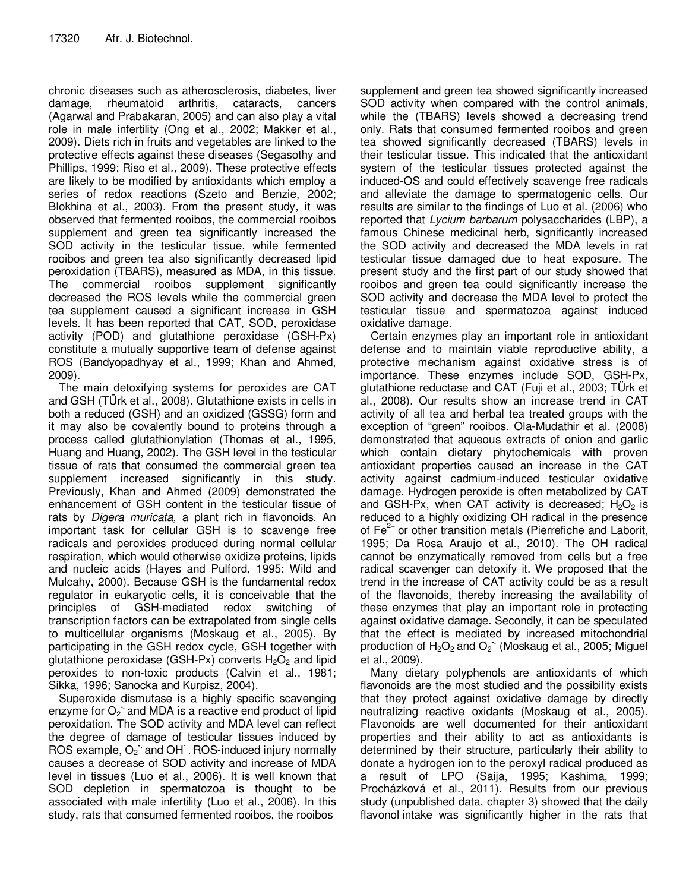chronic diseases such as atherosclerosis, diabetes, liver damage, rheumatoid arthritis, cataracts, cancers (Agarwal and Prabakaran, 2005) and can also play a vital role in male infertility (Ong et al., 2002; Makker et al., 2009). Diets rich in fruits and vegetables are linked to the protective effects against these diseases (Segasothy and Phillips, 1999; Riso et al., 2009). These protective effects are likely to be modified by antioxidants which employ a series of redox reactions (Szeto and Benzie, 2002; Blokhina et al., 2003). From the present study, it was observed that fermented rooibos, the commercial rooibos supplement and green tea significantly increased the SOD activity in the testicular tissue, while fermented rooibos and green tea also significantly decreased lipid peroxidation (TBARS), measured as MDA, in this tissue. The commercial rooibos supplement significantly decreased the ROS levels while the commercial green tea supplement caused a significant increase in GSH levels. It has been reported that CAT, SOD, peroxidase activity (POD) and glutathione peroxidase (GSH-Px) constitute a mutually supportive team of defense against ROS (Bandyopadhyay et al., 1999; Khan and Ahmed, 2009).

The main detoxifying systems for peroxides are CAT and GSH (TÜrk et al., 2008). Glutathione exists in cells in both a reduced (GSH) and an oxidized (GSSG) form and it may also be covalently bound to proteins through a process called glutathionylation (Thomas et al., 1995, Huang and Huang, 2002). The GSH level in the testicular tissue of rats that consumed the commercial green tea supplement increased significantly in this study. Previously, Khan and Ahmed (2009) demonstrated the enhancement of GSH content in the testicular tissue of rats by Digera muricata, a plant rich in flavonoids. An important task for cellular GSH is to scavenge free radicals and peroxides produced during normal cellular respiration, which would otherwise oxidize proteins, lipids and nucleic acids (Hayes and Pulford, 1995; Wild and Mulcahy, 2000). Because GSH is the fundamental redox regulator in eukaryotic cells, it is conceivable that the principles of GSH-mediated redox switching of transcription factors can be extrapolated from single cells to multicellular organisms (Moskaug et al., 2005). By participating in the GSH redox cycle, GSH together with glutathione peroxidase (GSH-Px) converts  $H_2O_2$  and lipid peroxides to non-toxic products (Calvin et al., 1981; Sikka, 1996; Sanocka and Kurpisz, 2004).

Superoxide dismutase is a highly specific scavenging enzyme for O<sub>2</sub> and MDA is a reactive end product of lipid peroxidation. The SOD activity and MDA level can reflect the degree of damage of testicular tissues induced by ROS example, O<sub>2</sub> and OH . ROS-induced injury normally causes a decrease of SOD activity and increase of MDA level in tissues (Luo et al., 2006). It is well known that SOD depletion in spermatozoa is thought to be associated with male infertility (Luo et al., 2006). In this study, rats that consumed fermented rooibos, the rooibos

supplement and green tea showed significantly increased SOD activity when compared with the control animals, while the (TBARS) levels showed a decreasing trend only. Rats that consumed fermented rooibos and green tea showed significantly decreased (TBARS) levels in their testicular tissue. This indicated that the antioxidant system of the testicular tissues protected against the induced-OS and could effectively scavenge free radicals and alleviate the damage to spermatogenic cells. Our results are similar to the findings of Luo et al. (2006) who reported that Lycium barbarum polysaccharides (LBP), a famous Chinese medicinal herb, significantly increased the SOD activity and decreased the MDA levels in rat testicular tissue damaged due to heat exposure. The present study and the first part of our study showed that rooibos and green tea could significantly increase the SOD activity and decrease the MDA level to protect the testicular tissue and spermatozoa against induced oxidative damage.

Certain enzymes play an important role in antioxidant defense and to maintain viable reproductive ability, a protective mechanism against oxidative stress is of importance. These enzymes include SOD, GSH-Px, glutathione reductase and CAT (Fuji et al., 2003; TÜrk et al., 2008). Our results show an increase trend in CAT activity of all tea and herbal tea treated groups with the exception of "green" rooibos. Ola-Mudathir et al. (2008) demonstrated that aqueous extracts of onion and garlic which contain dietary phytochemicals with proven antioxidant properties caused an increase in the CAT activity against cadmium-induced testicular oxidative damage. Hydrogen peroxide is often metabolized by CAT and GSH-Px, when CAT activity is decreased;  $H_2O_2$  is reduced to a highly oxidizing OH radical in the presence of  $Fe<sup>2+</sup>$  or other transition metals (Pierrefiche and Laborit, 1995; Da Rosa Araujo et al., 2010). The OH radical cannot be enzymatically removed from cells but a free radical scavenger can detoxify it. We proposed that the trend in the increase of CAT activity could be as a result of the flavonoids, thereby increasing the availability of these enzymes that play an important role in protecting against oxidative damage. Secondly, it can be speculated that the effect is mediated by increased mitochondrial production of H<sub>2</sub>O<sub>2</sub> and O<sub>2</sub><sup>.</sup> (Moskaug et al., 2005; Miguel et al., 2009).

Many dietary polyphenols are antioxidants of which flavonoids are the most studied and the possibility exists that they protect against oxidative damage by directly neutralizing reactive oxidants (Moskaug et al., 2005). Flavonoids are well documented for their antioxidant properties and their ability to act as antioxidants is determined by their structure, particularly their ability to donate a hydrogen ion to the peroxyl radical produced as a result of LPO (Saija, 1995; Kashima, 1999; Procházková et al., 2011). Results from our previous study (unpublished data, chapter 3) showed that the daily flavonol intake was significantly higher in the rats that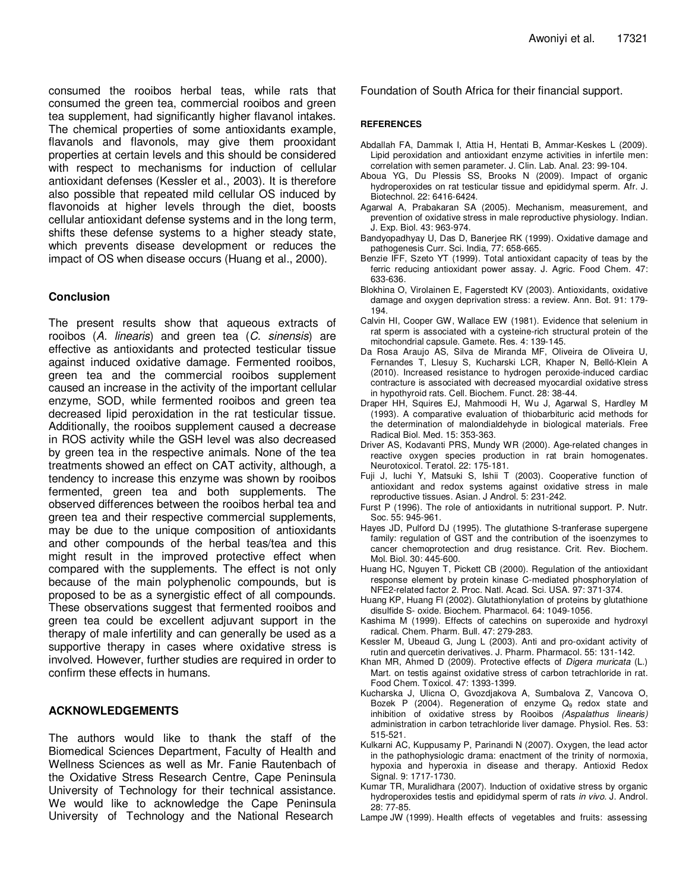consumed the rooibos herbal teas, while rats that consumed the green tea, commercial rooibos and green tea supplement, had significantly higher flavanol intakes. The chemical properties of some antioxidants example, flavanols and flavonols, may give them prooxidant properties at certain levels and this should be considered with respect to mechanisms for induction of cellular antioxidant defenses (Kessler et al., 2003). It is therefore also possible that repeated mild cellular OS induced by flavonoids at higher levels through the diet, boosts cellular antioxidant defense systems and in the long term, shifts these defense systems to a higher steady state, which prevents disease development or reduces the impact of OS when disease occurs (Huang et al., 2000).

#### **Conclusion**

The present results show that aqueous extracts of rooibos (A. linearis) and green tea (C. sinensis) are effective as antioxidants and protected testicular tissue against induced oxidative damage. Fermented rooibos, green tea and the commercial rooibos supplement caused an increase in the activity of the important cellular enzyme, SOD, while fermented rooibos and green tea decreased lipid peroxidation in the rat testicular tissue. Additionally, the rooibos supplement caused a decrease in ROS activity while the GSH level was also decreased by green tea in the respective animals. None of the tea treatments showed an effect on CAT activity, although, a tendency to increase this enzyme was shown by rooibos fermented, green tea and both supplements. The observed differences between the rooibos herbal tea and green tea and their respective commercial supplements, may be due to the unique composition of antioxidants and other compounds of the herbal teas/tea and this might result in the improved protective effect when compared with the supplements. The effect is not only because of the main polyphenolic compounds, but is proposed to be as a synergistic effect of all compounds. These observations suggest that fermented rooibos and green tea could be excellent adjuvant support in the therapy of male infertility and can generally be used as a supportive therapy in cases where oxidative stress is involved. However, further studies are required in order to confirm these effects in humans.

#### **ACKNOWLEDGEMENTS**

The authors would like to thank the staff of the Biomedical Sciences Department, Faculty of Health and Wellness Sciences as well as Mr. Fanie Rautenbach of the Oxidative Stress Research Centre, Cape Peninsula University of Technology for their technical assistance. We would like to acknowledge the Cape Peninsula University of Technology and the National Research

Foundation of South Africa for their financial support.

#### **REFERENCES**

- Abdallah FA, Dammak I, Attia H, Hentati B, Ammar-Keskes L (2009). Lipid peroxidation and antioxidant enzyme activities in infertile men: correlation with semen parameter. J. Clin. Lab. Anal. 23: 99-104.
- Aboua YG, Du Plessis SS, Brooks N (2009). Impact of organic hydroperoxides on rat testicular tissue and epididymal sperm. Afr. J. Biotechnol. 22: 6416-6424.
- Agarwal A, Prabakaran SA (2005). Mechanism, measurement, and prevention of oxidative stress in male reproductive physiology. Indian. J. Exp. Biol. 43: 963-974.
- Bandyopadhyay U, Das D, Banerjee RK (1999). Oxidative damage and pathogenesis Curr. Sci. India, 77: 658-665.
- Benzie IFF, Szeto YT (1999). Total antioxidant capacity of teas by the ferric reducing antioxidant power assay. J. Agric. Food Chem. 47: 633-636.
- Blokhina O, Virolainen E, Fagerstedt KV (2003). Antioxidants, oxidative damage and oxygen deprivation stress: a review. Ann. Bot. 91: 179- 194.
- Calvin HI, Cooper GW, Wallace EW (1981). Evidence that selenium in rat sperm is associated with a cysteine-rich structural protein of the mitochondrial capsule. Gamete. Res. 4: 139-145.
- Da Rosa Araujo AS, Silva de Miranda MF, Oliveira de Oliveira U, Fernandes T, Llesuy S, Kucharski LCR, Khaper N, Belló-Klein A (2010). Increased resistance to hydrogen peroxide-induced cardiac contracture is associated with decreased myocardial oxidative stress in hypothyroid rats. Cell. Biochem. Funct. 28: 38-44.
- Draper HH, Squires EJ, Mahmoodi H, Wu J, Agarwal S, Hardley M (1993). A comparative evaluation of thiobarbituric acid methods for the determination of malondialdehyde in biological materials. Free Radical Biol. Med. 15: 353-363.
- Driver AS, Kodavanti PRS, Mundy WR (2000). Age-related changes in reactive oxygen species production in rat brain homogenates. Neurotoxicol. Teratol. 22: 175-181.
- Fuji J, Iuchi Y, Matsuki S, Ishii T (2003). Cooperative function of antioxidant and redox systems against oxidative stress in male reproductive tissues. Asian. J Androl. 5: 231-242.
- Furst P (1996). The role of antioxidants in nutritional support. P. Nutr. Soc. 55: 945-961.
- Hayes JD, Pulford DJ (1995). The glutathione S-tranferase supergene family: regulation of GST and the contribution of the isoenzymes to cancer chemoprotection and drug resistance. Crit. Rev. Biochem. Mol. Biol. 30: 445-600.
- Huang HC, Nguyen T, Pickett CB (2000). Regulation of the antioxidant response element by protein kinase C-mediated phosphorylation of NFE2-related factor 2. Proc. Natl. Acad. Sci. USA. 97: 371-374.
- Huang KP, Huang Fl (2002). Glutathionylation of proteins by glutathione disulfide S- oxide. Biochem. Pharmacol. 64: 1049-1056.
- Kashima M (1999). Effects of catechins on superoxide and hydroxyl radical. Chem. Pharm. Bull. 47: 279-283.
- Kessler M, Ubeaud G, Jung L (2003). Anti and pro-oxidant activity of rutin and quercetin derivatives. J. Pharm. Pharmacol. 55: 131-142.
- Khan MR, Ahmed D (2009). Protective effects of Digera muricata (L.) Mart. on testis against oxidative stress of carbon tetrachloride in rat. Food Chem. Toxicol. 47: 1393-1399.
- Kucharska J, Ulicna O, Gvozdjakova A, Sumbalova Z, Vancova O, Bozek P (2004). Regeneration of enzyme  $Q_9$  redox state and inhibition of oxidative stress by Rooibos (Aspalathus linearis) administration in carbon tetrachloride liver damage. Physiol. Res. 53: 515-521.
- Kulkarni AC, Kuppusamy P, Parinandi N (2007). Oxygen, the lead actor in the pathophysiologic drama: enactment of the trinity of normoxia, hypoxia and hyperoxia in disease and therapy. Antioxid Redox Signal. 9: 1717-1730.
- Kumar TR, Muralidhara (2007). Induction of oxidative stress by organic hydroperoxides testis and epididymal sperm of rats in vivo. J. Androl. 28: 77-85.
- Lampe JW (1999). Health effects of vegetables and fruits: assessing